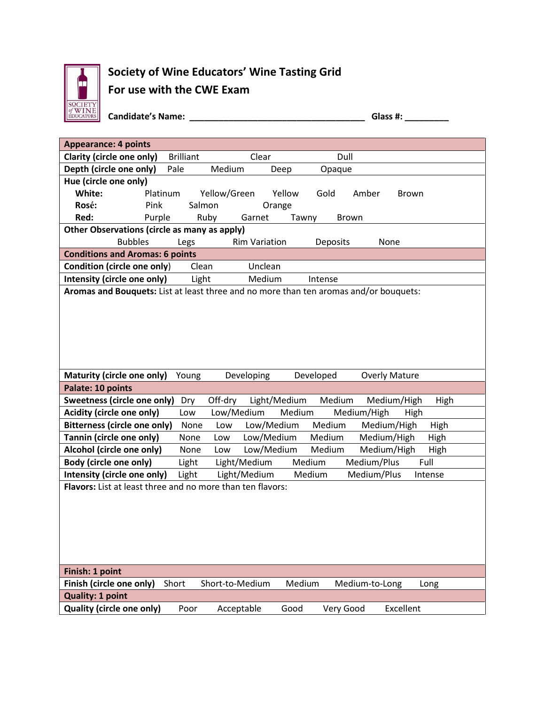

## **Society of Wine Educators' Wine Tasting Grid For use with the CWE Exam**

**Candidate's Name: \_\_\_\_\_\_\_\_\_\_\_\_\_\_\_\_\_\_\_\_\_\_\_\_\_\_\_\_\_\_\_\_\_\_\_\_ Glass #: \_\_\_\_\_\_\_\_\_**

| <b>Appearance: 4 points</b>                                                           |                  |                      |              |                |                      |  |
|---------------------------------------------------------------------------------------|------------------|----------------------|--------------|----------------|----------------------|--|
| Clarity (circle one only)                                                             | <b>Brilliant</b> | Clear                |              | Dull           |                      |  |
| Depth (circle one only)                                                               | Pale             | Medium               | Deep         | Opaque         |                      |  |
| Hue (circle one only)                                                                 |                  |                      |              |                |                      |  |
| White:                                                                                | Platinum         | Yellow/Green         | Yellow       | Gold<br>Amber  | <b>Brown</b>         |  |
| Pink<br>Rosé:                                                                         |                  | Salmon               | Orange       |                |                      |  |
| Red:                                                                                  | Purple           | Ruby<br>Garnet       | Tawny        | <b>Brown</b>   |                      |  |
| Other Observations (circle as many as apply)                                          |                  |                      |              |                |                      |  |
| <b>Bubbles</b>                                                                        | Legs             | <b>Rim Variation</b> |              | Deposits       | None                 |  |
| <b>Conditions and Aromas: 6 points</b>                                                |                  |                      |              |                |                      |  |
| Condition (circle one only)                                                           | Clean            | Unclean              |              |                |                      |  |
| Intensity (circle one only)                                                           | Light            | Medium               |              | Intense        |                      |  |
| Aromas and Bouquets: List at least three and no more than ten aromas and/or bouquets: |                  |                      |              |                |                      |  |
|                                                                                       |                  |                      |              |                |                      |  |
|                                                                                       |                  |                      |              |                |                      |  |
|                                                                                       |                  |                      |              |                |                      |  |
|                                                                                       |                  |                      |              |                |                      |  |
|                                                                                       |                  |                      |              |                |                      |  |
|                                                                                       |                  |                      |              |                |                      |  |
| Maturity (circle one only)                                                            | Young            | Developing           | Developed    |                | <b>Overly Mature</b> |  |
| Palate: 10 points                                                                     |                  |                      |              |                |                      |  |
| <b>Sweetness (circle one only)</b>                                                    | Dry              | Off-dry              | Light/Medium | Medium         | Medium/High<br>High  |  |
| Acidity (circle one only)                                                             | Low              | Low/Medium           | Medium       | Medium/High    | High                 |  |
| <b>Bitterness (circle one only)</b>                                                   | None             | Low                  | Low/Medium   | Medium         | Medium/High<br>High  |  |
| Tannin (circle one only)                                                              | None             | Low                  | Low/Medium   | Medium         | Medium/High<br>High  |  |
| Alcohol (circle one only)                                                             | None             | Low                  | Low/Medium   | Medium         | Medium/High<br>High  |  |
| <b>Body (circle one only)</b>                                                         | Light            | Light/Medium         | Medium       | Medium/Plus    | Full                 |  |
| Intensity (circle one only)                                                           | Light            | Light/Medium         | Medium       | Medium/Plus    | Intense              |  |
|                                                                                       |                  |                      |              |                |                      |  |
| <b>Flavors:</b> List at least three and no more than ten flavors:                     |                  |                      |              |                |                      |  |
|                                                                                       |                  |                      |              |                |                      |  |
|                                                                                       |                  |                      |              |                |                      |  |
|                                                                                       |                  |                      |              |                |                      |  |
|                                                                                       |                  |                      |              |                |                      |  |
|                                                                                       |                  |                      |              |                |                      |  |
|                                                                                       |                  |                      |              |                |                      |  |
| Finish: 1 point                                                                       |                  |                      |              |                |                      |  |
| Finish (circle one only)                                                              | Short            | Short-to-Medium      | Medium       | Medium-to-Long | Long                 |  |
| <b>Quality: 1 point</b>                                                               |                  |                      |              |                |                      |  |
| <b>Quality (circle one only)</b>                                                      | Poor             | Acceptable           | Good         | Very Good      | Excellent            |  |